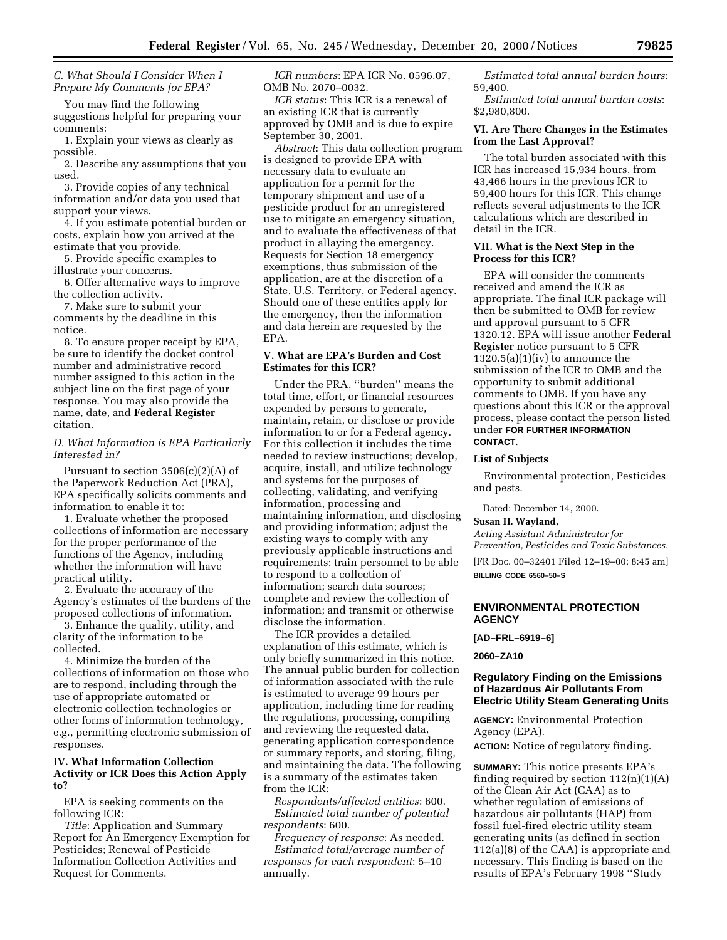*C. What Should I Consider When I Prepare My Comments for EPA?*

You may find the following suggestions helpful for preparing your comments:

1. Explain your views as clearly as possible.

2. Describe any assumptions that you used.

3. Provide copies of any technical information and/or data you used that support your views.

4. If you estimate potential burden or costs, explain how you arrived at the estimate that you provide.

5. Provide specific examples to illustrate your concerns.

6. Offer alternative ways to improve the collection activity.

7. Make sure to submit your comments by the deadline in this notice.

8. To ensure proper receipt by EPA, be sure to identify the docket control number and administrative record number assigned to this action in the subject line on the first page of your response. You may also provide the name, date, and **Federal Register** citation.

# *D. What Information is EPA Particularly Interested in?*

Pursuant to section  $3506(c)(2)(A)$  of the Paperwork Reduction Act (PRA), EPA specifically solicits comments and information to enable it to:

1. Evaluate whether the proposed collections of information are necessary for the proper performance of the functions of the Agency, including whether the information will have practical utility.

2. Evaluate the accuracy of the Agency's estimates of the burdens of the proposed collections of information.

3. Enhance the quality, utility, and clarity of the information to be collected.

4. Minimize the burden of the collections of information on those who are to respond, including through the use of appropriate automated or electronic collection technologies or other forms of information technology, e.g., permitting electronic submission of responses.

## **IV. What Information Collection Activity or ICR Does this Action Apply to?**

EPA is seeking comments on the following ICR:

*Title*: Application and Summary Report for An Emergency Exemption for Pesticides; Renewal of Pesticide Information Collection Activities and Request for Comments.

*ICR numbers*: EPA ICR No. 0596.07, OMB No. 2070–0032.

*ICR status*: This ICR is a renewal of an existing ICR that is currently approved by OMB and is due to expire September 30, 2001.

*Abstract*: This data collection program is designed to provide EPA with necessary data to evaluate an application for a permit for the temporary shipment and use of a pesticide product for an unregistered use to mitigate an emergency situation, and to evaluate the effectiveness of that product in allaying the emergency. Requests for Section 18 emergency exemptions, thus submission of the application, are at the discretion of a State, U.S. Territory, or Federal agency. Should one of these entities apply for the emergency, then the information and data herein are requested by the EPA.

## **V. What are EPA's Burden and Cost Estimates for this ICR?**

Under the PRA, ''burden'' means the total time, effort, or financial resources expended by persons to generate, maintain, retain, or disclose or provide information to or for a Federal agency. For this collection it includes the time needed to review instructions; develop, acquire, install, and utilize technology and systems for the purposes of collecting, validating, and verifying information, processing and maintaining information, and disclosing and providing information; adjust the existing ways to comply with any previously applicable instructions and requirements; train personnel to be able to respond to a collection of information; search data sources; complete and review the collection of information; and transmit or otherwise disclose the information.

The ICR provides a detailed explanation of this estimate, which is only briefly summarized in this notice. The annual public burden for collection of information associated with the rule is estimated to average 99 hours per application, including time for reading the regulations, processing, compiling and reviewing the requested data, generating application correspondence or summary reports, and storing, filing, and maintaining the data. The following is a summary of the estimates taken from the ICR:

*Respondents/affected entities*: 600. *Estimated total number of potential respondents*: 600.

*Frequency of response*: As needed. *Estimated total/average number of responses for each respondent*: 5–10 annually.

*Estimated total annual burden hours*: 59,400.

*Estimated total annual burden costs*: \$2,980,800.

# **VI. Are There Changes in the Estimates from the Last Approval?**

The total burden associated with this ICR has increased 15,934 hours, from 43,466 hours in the previous ICR to 59,400 hours for this ICR. This change reflects several adjustments to the ICR calculations which are described in detail in the ICR.

## **VII. What is the Next Step in the Process for this ICR?**

EPA will consider the comments received and amend the ICR as appropriate. The final ICR package will then be submitted to OMB for review and approval pursuant to 5 CFR 1320.12. EPA will issue another **Federal Register** notice pursuant to 5 CFR  $1320.5(a)(1)(iv)$  to announce the submission of the ICR to OMB and the opportunity to submit additional comments to OMB. If you have any questions about this ICR or the approval process, please contact the person listed under **FOR FURTHER INFORMATION CONTACT**.

#### **List of Subjects**

Environmental protection, Pesticides and pests.

Dated: December 14, 2000.

#### **Susan H. Wayland,**

*Acting Assistant Administrator for Prevention, Pesticides and Toxic Substances.*

[FR Doc. 00–32401 Filed 12–19–00; 8:45 am] **BILLING CODE 6560–50–S**

## **ENVIRONMENTAL PROTECTION AGENCY**

## **[AD–FRL–6919–6]**

**2060–ZA10**

# **Regulatory Finding on the Emissions of Hazardous Air Pollutants From Electric Utility Steam Generating Units**

**AGENCY:** Environmental Protection Agency (EPA).

**ACTION:** Notice of regulatory finding.

**SUMMARY:** This notice presents EPA's finding required by section  $112(n)(1)(A)$ of the Clean Air Act (CAA) as to whether regulation of emissions of hazardous air pollutants (HAP) from fossil fuel-fired electric utility steam generating units (as defined in section 112(a)(8) of the CAA) is appropriate and necessary. This finding is based on the results of EPA's February 1998 ''Study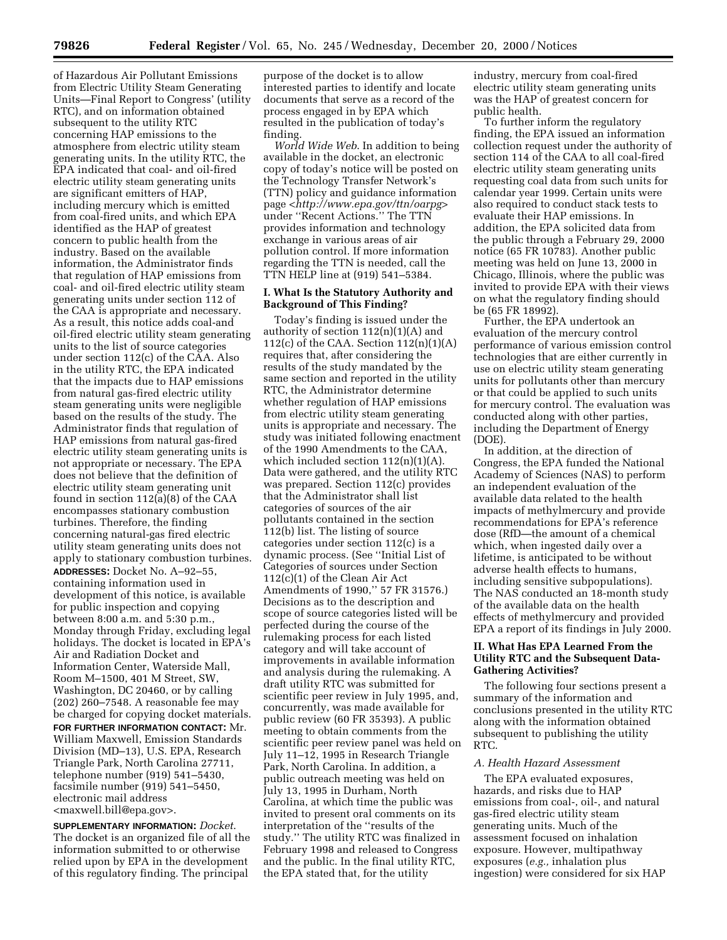of Hazardous Air Pollutant Emissions from Electric Utility Steam Generating Units—Final Report to Congress' (utility RTC), and on information obtained subsequent to the utility RTC concerning HAP emissions to the atmosphere from electric utility steam generating units. In the utility RTC, the EPA indicated that coal- and oil-fired electric utility steam generating units are significant emitters of HAP, including mercury which is emitted from coal-fired units, and which EPA identified as the HAP of greatest concern to public health from the industry. Based on the available information, the Administrator finds that regulation of HAP emissions from coal- and oil-fired electric utility steam generating units under section 112 of the CAA is appropriate and necessary. As a result, this notice adds coal-and oil-fired electric utility steam generating units to the list of source categories under section  $112(c)$  of the CAA. Also in the utility RTC, the EPA indicated that the impacts due to HAP emissions from natural gas-fired electric utility steam generating units were negligible based on the results of the study. The Administrator finds that regulation of HAP emissions from natural gas-fired electric utility steam generating units is not appropriate or necessary. The EPA does not believe that the definition of electric utility steam generating unit found in section 112(a)(8) of the CAA encompasses stationary combustion turbines. Therefore, the finding concerning natural-gas fired electric utility steam generating units does not apply to stationary combustion turbines. **ADDRESSES:** Docket No. A–92–55, containing information used in development of this notice, is available for public inspection and copying between 8:00 a.m. and 5:30 p.m., Monday through Friday, excluding legal holidays. The docket is located in EPA's Air and Radiation Docket and Information Center, Waterside Mall, Room M–1500, 401 M Street, SW, Washington, DC 20460, or by calling (202) 260–7548. A reasonable fee may be charged for copying docket materials. **FOR FURTHER INFORMATION CONTACT:** Mr. William Maxwell, Emission Standards Division (MD–13), U.S. EPA, Research Triangle Park, North Carolina 27711, telephone number (919) 541–5430, facsimile number (919) 541–5450, electronic mail address

<maxwell.bill@epa.gov>.

**SUPPLEMENTARY INFORMATION:** *Docket*. The docket is an organized file of all the information submitted to or otherwise relied upon by EPA in the development of this regulatory finding. The principal

purpose of the docket is to allow interested parties to identify and locate documents that serve as a record of the process engaged in by EPA which resulted in the publication of today's finding.

*World Wide Web*. In addition to being available in the docket, an electronic copy of today's notice will be posted on the Technology Transfer Network's (TTN) policy and guidance information page *<http://www.epa.gov/ttn/oarpg>* under ''Recent Actions.'' The TTN provides information and technology exchange in various areas of air pollution control. If more information regarding the TTN is needed, call the TTN HELP line at (919) 541–5384.

## **I. What Is the Statutory Authority and Background of This Finding?**

Today's finding is issued under the authority of section  $112(n)(1)(A)$  and 112(c) of the CAA. Section 112(n)(1)(A) requires that, after considering the results of the study mandated by the same section and reported in the utility RTC, the Administrator determine whether regulation of HAP emissions from electric utility steam generating units is appropriate and necessary. The study was initiated following enactment of the 1990 Amendments to the CAA, which included section  $112(n)(1)(A)$ . Data were gathered, and the utility RTC was prepared. Section 112(c) provides that the Administrator shall list categories of sources of the air pollutants contained in the section 112(b) list. The listing of source categories under section 112(c) is a dynamic process. (See ''Initial List of Categories of sources under Section 112(c)(1) of the Clean Air Act Amendments of 1990,'' 57 FR 31576.) Decisions as to the description and scope of source categories listed will be perfected during the course of the rulemaking process for each listed category and will take account of improvements in available information and analysis during the rulemaking. A draft utility RTC was submitted for scientific peer review in July 1995, and, concurrently, was made available for public review (60 FR 35393). A public meeting to obtain comments from the scientific peer review panel was held on July 11–12, 1995 in Research Triangle Park, North Carolina. In addition, a public outreach meeting was held on July 13, 1995 in Durham, North Carolina, at which time the public was invited to present oral comments on its interpretation of the ''results of the study.'' The utility RTC was finalized in February 1998 and released to Congress and the public. In the final utility RTC, the EPA stated that, for the utility

industry, mercury from coal-fired electric utility steam generating units was the HAP of greatest concern for public health.

To further inform the regulatory finding, the EPA issued an information collection request under the authority of section 114 of the CAA to all coal-fired electric utility steam generating units requesting coal data from such units for calendar year 1999. Certain units were also required to conduct stack tests to evaluate their HAP emissions. In addition, the EPA solicited data from the public through a February 29, 2000 notice (65 FR 10783). Another public meeting was held on June 13, 2000 in Chicago, Illinois, where the public was invited to provide EPA with their views on what the regulatory finding should be (65 FR 18992).

Further, the EPA undertook an evaluation of the mercury control performance of various emission control technologies that are either currently in use on electric utility steam generating units for pollutants other than mercury or that could be applied to such units for mercury control. The evaluation was conducted along with other parties, including the Department of Energy (DOE).

In addition, at the direction of Congress, the EPA funded the National Academy of Sciences (NAS) to perform an independent evaluation of the available data related to the health impacts of methylmercury and provide recommendations for EPA's reference dose (RfD—the amount of a chemical which, when ingested daily over a lifetime, is anticipated to be without adverse health effects to humans, including sensitive subpopulations). The NAS conducted an 18-month study of the available data on the health effects of methylmercury and provided EPA a report of its findings in July 2000.

# **II. What Has EPA Learned From the Utility RTC and the Subsequent Data-Gathering Activities?**

The following four sections present a summary of the information and conclusions presented in the utility RTC along with the information obtained subsequent to publishing the utility RTC.

## *A. Health Hazard Assessment*

The EPA evaluated exposures, hazards, and risks due to HAP emissions from coal-, oil-, and natural gas-fired electric utility steam generating units. Much of the assessment focused on inhalation exposure. However, multipathway exposures (*e.g.,* inhalation plus ingestion) were considered for six HAP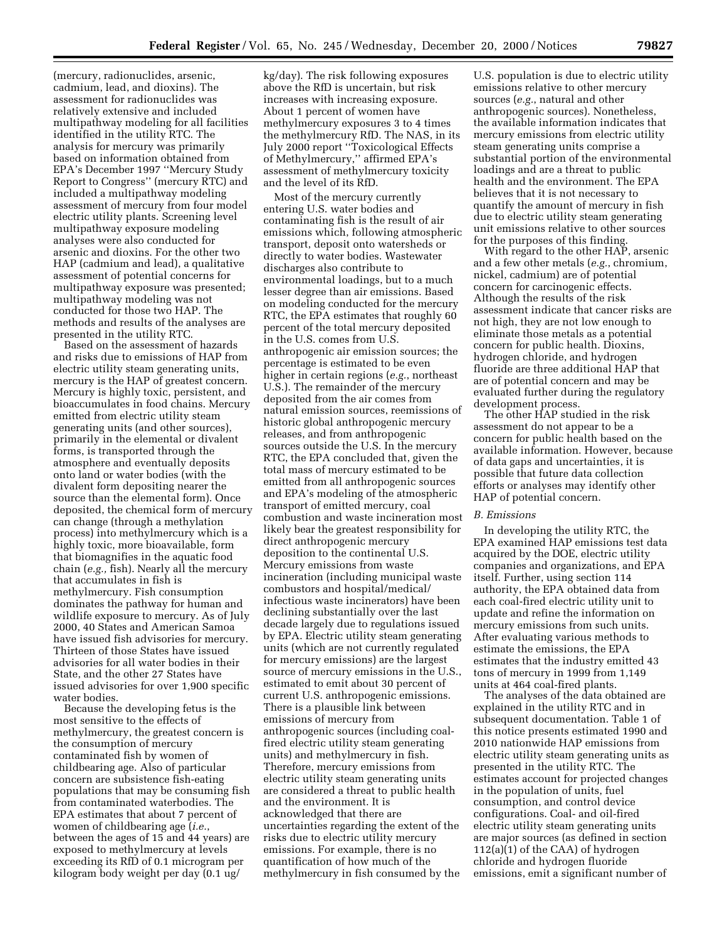(mercury, radionuclides, arsenic, cadmium, lead, and dioxins). The assessment for radionuclides was relatively extensive and included multipathway modeling for all facilities identified in the utility RTC. The analysis for mercury was primarily based on information obtained from EPA's December 1997 ''Mercury Study Report to Congress'' (mercury RTC) and included a multipathway modeling assessment of mercury from four model electric utility plants. Screening level multipathway exposure modeling analyses were also conducted for arsenic and dioxins. For the other two HAP (cadmium and lead), a qualitative assessment of potential concerns for multipathway exposure was presented; multipathway modeling was not conducted for those two HAP. The methods and results of the analyses are presented in the utility RTC.

Based on the assessment of hazards and risks due to emissions of HAP from electric utility steam generating units, mercury is the HAP of greatest concern. Mercury is highly toxic, persistent, and bioaccumulates in food chains. Mercury emitted from electric utility steam generating units (and other sources), primarily in the elemental or divalent forms, is transported through the atmosphere and eventually deposits onto land or water bodies (with the divalent form depositing nearer the source than the elemental form). Once deposited, the chemical form of mercury can change (through a methylation process) into methylmercury which is a highly toxic, more bioavailable, form that biomagnifies in the aquatic food chain (*e.g.,* fish). Nearly all the mercury that accumulates in fish is methylmercury. Fish consumption dominates the pathway for human and wildlife exposure to mercury. As of July 2000, 40 States and American Samoa have issued fish advisories for mercury. Thirteen of those States have issued advisories for all water bodies in their State, and the other 27 States have issued advisories for over 1,900 specific water bodies.

Because the developing fetus is the most sensitive to the effects of methylmercury, the greatest concern is the consumption of mercury contaminated fish by women of childbearing age. Also of particular concern are subsistence fish-eating populations that may be consuming fish from contaminated waterbodies. The EPA estimates that about 7 percent of women of childbearing age (*i.e.*, between the ages of 15 and 44 years) are exposed to methylmercury at levels exceeding its RfD of 0.1 microgram per kilogram body weight per day (0.1 ug/

kg/day). The risk following exposures above the RfD is uncertain, but risk increases with increasing exposure. About 1 percent of women have methylmercury exposures 3 to 4 times the methylmercury RfD. The NAS, in its July 2000 report ''Toxicological Effects of Methylmercury,'' affirmed EPA's assessment of methylmercury toxicity and the level of its RfD.

Most of the mercury currently entering U.S. water bodies and contaminating fish is the result of air emissions which, following atmospheric transport, deposit onto watersheds or directly to water bodies. Wastewater discharges also contribute to environmental loadings, but to a much lesser degree than air emissions. Based on modeling conducted for the mercury RTC, the EPA estimates that roughly 60 percent of the total mercury deposited in the U.S. comes from U.S. anthropogenic air emission sources; the percentage is estimated to be even higher in certain regions (*e.g.*, northeast U.S.). The remainder of the mercury deposited from the air comes from natural emission sources, reemissions of historic global anthropogenic mercury releases, and from anthropogenic sources outside the U.S. In the mercury RTC, the EPA concluded that, given the total mass of mercury estimated to be emitted from all anthropogenic sources and EPA's modeling of the atmospheric transport of emitted mercury, coal combustion and waste incineration most likely bear the greatest responsibility for direct anthropogenic mercury deposition to the continental U.S. Mercury emissions from waste incineration (including municipal waste combustors and hospital/medical/ infectious waste incinerators) have been declining substantially over the last decade largely due to regulations issued by EPA. Electric utility steam generating units (which are not currently regulated for mercury emissions) are the largest source of mercury emissions in the U.S., estimated to emit about 30 percent of current U.S. anthropogenic emissions. There is a plausible link between emissions of mercury from anthropogenic sources (including coalfired electric utility steam generating units) and methylmercury in fish. Therefore, mercury emissions from electric utility steam generating units are considered a threat to public health and the environment. It is acknowledged that there are uncertainties regarding the extent of the risks due to electric utility mercury emissions. For example, there is no quantification of how much of the methylmercury in fish consumed by the

U.S. population is due to electric utility emissions relative to other mercury sources (*e.g.*, natural and other anthropogenic sources). Nonetheless, the available information indicates that mercury emissions from electric utility steam generating units comprise a substantial portion of the environmental loadings and are a threat to public health and the environment. The EPA believes that it is not necessary to quantify the amount of mercury in fish due to electric utility steam generating unit emissions relative to other sources for the purposes of this finding.

With regard to the other HAP, arsenic and a few other metals (*e.g.*, chromium, nickel, cadmium) are of potential concern for carcinogenic effects. Although the results of the risk assessment indicate that cancer risks are not high, they are not low enough to eliminate those metals as a potential concern for public health. Dioxins, hydrogen chloride, and hydrogen fluoride are three additional HAP that are of potential concern and may be evaluated further during the regulatory development process.

The other HAP studied in the risk assessment do not appear to be a concern for public health based on the available information. However, because of data gaps and uncertainties, it is possible that future data collection efforts or analyses may identify other HAP of potential concern.

## *B. Emissions*

In developing the utility RTC, the EPA examined HAP emissions test data acquired by the DOE, electric utility companies and organizations, and EPA itself. Further, using section 114 authority, the EPA obtained data from each coal-fired electric utility unit to update and refine the information on mercury emissions from such units. After evaluating various methods to estimate the emissions, the EPA estimates that the industry emitted 43 tons of mercury in 1999 from 1,149 units at 464 coal-fired plants.

The analyses of the data obtained are explained in the utility RTC and in subsequent documentation. Table 1 of this notice presents estimated 1990 and 2010 nationwide HAP emissions from electric utility steam generating units as presented in the utility RTC. The estimates account for projected changes in the population of units, fuel consumption, and control device configurations. Coal- and oil-fired electric utility steam generating units are major sources (as defined in section 112(a)(1) of the CAA) of hydrogen chloride and hydrogen fluoride emissions, emit a significant number of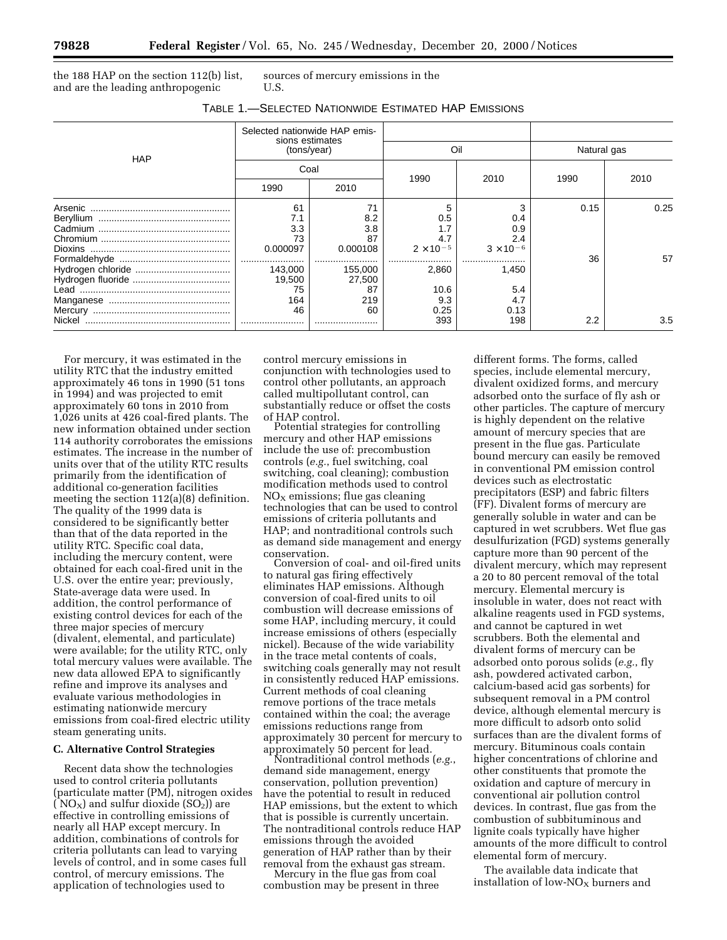the 188 HAP on the section 112(b) list, and are the leading anthropogenic

sources of mercury emissions in the U.S.

| TABLE 1.—SELECTED NATIONWIDE ESTIMATED HAP EMISSIONS |  |  |
|------------------------------------------------------|--|--|
|                                                      |  |  |

| <b>HAP</b> | Selected nationwide HAP emis-<br>sions estimates<br>(tons/year) |          |                    |                    |             |      |
|------------|-----------------------------------------------------------------|----------|--------------------|--------------------|-------------|------|
|            |                                                                 |          | Oil                |                    | Natural gas |      |
|            | Coal                                                            |          |                    |                    | 1990        | 2010 |
|            | 1990                                                            | 2010     | 1990               | 2010               |             |      |
|            | 61                                                              | 71       |                    |                    | 0.15        | 0.25 |
|            | 7.1                                                             | 8.2      | 0.5                | 0.4                |             |      |
|            | 3.3                                                             | 3.8      |                    | 0.9                |             |      |
|            | 73                                                              | 87       | 4.7                | 2.4                |             |      |
|            | 0.000097                                                        | 0.000108 | $2 \times 10^{-5}$ | $3 \times 10^{-6}$ |             |      |
|            |                                                                 |          |                    |                    | 36          | 57   |
|            | 143,000                                                         | 155,000  | 2.860              | 1.450              |             |      |
|            | 19,500                                                          | 27,500   |                    |                    |             |      |
|            | 75                                                              | 87       | 10.6               | 5.4                |             |      |
|            | 164                                                             | 219      | 9.3                | 4.7                |             |      |
|            | 46                                                              | 60       | 0.25               | 0.13               |             |      |
| Nickel     |                                                                 |          | 393                | 198                | 2.2         | 3.5  |

For mercury, it was estimated in the utility RTC that the industry emitted approximately 46 tons in 1990 (51 tons in 1994) and was projected to emit approximately 60 tons in 2010 from 1,026 units at 426 coal-fired plants. The new information obtained under section 114 authority corroborates the emissions estimates. The increase in the number of units over that of the utility RTC results primarily from the identification of additional co-generation facilities meeting the section 112(a)(8) definition. The quality of the 1999 data is considered to be significantly better than that of the data reported in the utility RTC. Specific coal data, including the mercury content, were obtained for each coal-fired unit in the U.S. over the entire year; previously, State-average data were used. In addition, the control performance of existing control devices for each of the three major species of mercury (divalent, elemental, and particulate) were available; for the utility RTC, only total mercury values were available. The new data allowed EPA to significantly refine and improve its analyses and evaluate various methodologies in estimating nationwide mercury emissions from coal-fired electric utility steam generating units.

## **C. Alternative Control Strategies**

Recent data show the technologies used to control criteria pollutants (particulate matter (PM), nitrogen oxides (  $NO<sub>X</sub>$ ) and sulfur dioxide ( $SO<sub>2</sub>$ )) are effective in controlling emissions of nearly all HAP except mercury. In addition, combinations of controls for criteria pollutants can lead to varying levels of control, and in some cases full control, of mercury emissions. The application of technologies used to

control mercury emissions in conjunction with technologies used to control other pollutants, an approach called multipollutant control, can substantially reduce or offset the costs of HAP control.

Potential strategies for controlling mercury and other HAP emissions include the use of: precombustion controls (*e.g.*, fuel switching, coal switching, coal cleaning); combustion modification methods used to control  $NO<sub>x</sub>$  emissions; flue gas cleaning technologies that can be used to control emissions of criteria pollutants and HAP; and nontraditional controls such as demand side management and energy conservation.

Conversion of coal- and oil-fired units to natural gas firing effectively eliminates HAP emissions. Although conversion of coal-fired units to oil combustion will decrease emissions of some HAP, including mercury, it could increase emissions of others (especially nickel). Because of the wide variability in the trace metal contents of coals, switching coals generally may not result in consistently reduced HAP emissions. Current methods of coal cleaning remove portions of the trace metals contained within the coal; the average emissions reductions range from approximately 30 percent for mercury to

Nontraditional control methods (*e.g.*, demand side management, energy conservation, pollution prevention) have the potential to result in reduced HAP emissions, but the extent to which that is possible is currently uncertain. The nontraditional controls reduce HAP emissions through the avoided generation of HAP rather than by their

removal from the exhaust gas stream. Mercury in the flue gas from coal combustion may be present in three

different forms. The forms, called species, include elemental mercury, divalent oxidized forms, and mercury adsorbed onto the surface of fly ash or other particles. The capture of mercury is highly dependent on the relative amount of mercury species that are present in the flue gas. Particulate bound mercury can easily be removed in conventional PM emission control devices such as electrostatic precipitators (ESP) and fabric filters (FF). Divalent forms of mercury are generally soluble in water and can be captured in wet scrubbers. Wet flue gas desulfurization (FGD) systems generally capture more than 90 percent of the divalent mercury, which may represent a 20 to 80 percent removal of the total mercury. Elemental mercury is insoluble in water, does not react with alkaline reagents used in FGD systems, and cannot be captured in wet scrubbers. Both the elemental and divalent forms of mercury can be adsorbed onto porous solids (*e.g.*, fly ash, powdered activated carbon, calcium-based acid gas sorbents) for subsequent removal in a PM control device, although elemental mercury is more difficult to adsorb onto solid surfaces than are the divalent forms of mercury. Bituminous coals contain higher concentrations of chlorine and other constituents that promote the oxidation and capture of mercury in conventional air pollution control devices. In contrast, flue gas from the combustion of subbituminous and lignite coals typically have higher amounts of the more difficult to control elemental form of mercury.

The available data indicate that installation of low- $NO<sub>X</sub>$  burners and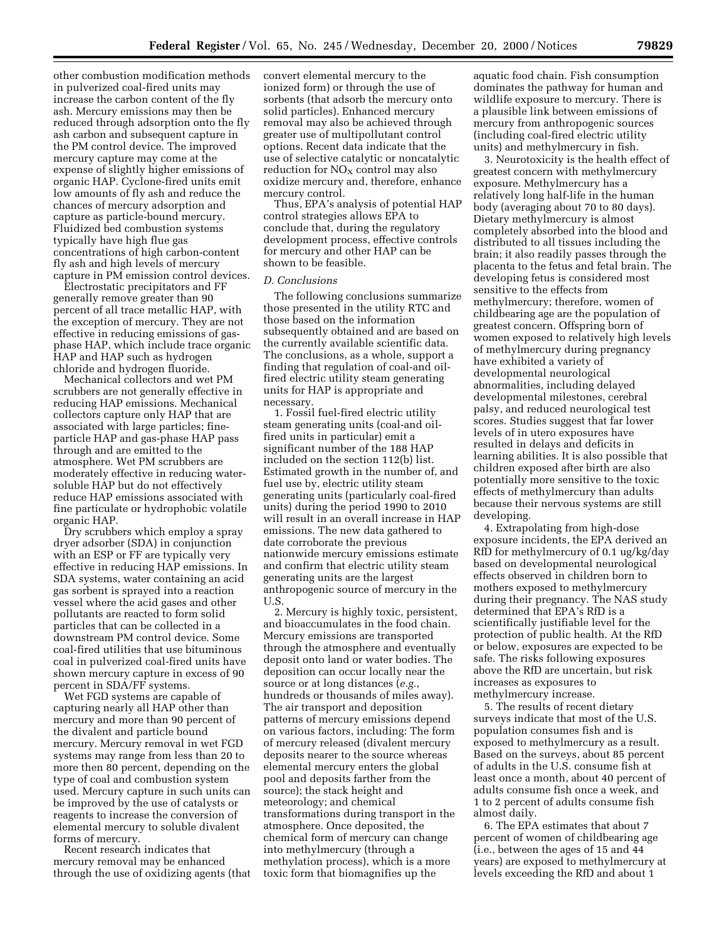other combustion modification methods in pulverized coal-fired units may increase the carbon content of the fly ash. Mercury emissions may then be reduced through adsorption onto the fly ash carbon and subsequent capture in the PM control device. The improved mercury capture may come at the expense of slightly higher emissions of organic HAP. Cyclone-fired units emit low amounts of fly ash and reduce the chances of mercury adsorption and capture as particle-bound mercury. Fluidized bed combustion systems typically have high flue gas concentrations of high carbon-content fly ash and high levels of mercury capture in PM emission control devices.

Electrostatic precipitators and FF generally remove greater than 90 percent of all trace metallic HAP, with the exception of mercury. They are not effective in reducing emissions of gasphase HAP, which include trace organic HAP and HAP such as hydrogen chloride and hydrogen fluoride.

Mechanical collectors and wet PM scrubbers are not generally effective in reducing HAP emissions. Mechanical collectors capture only HAP that are associated with large particles; fineparticle HAP and gas-phase HAP pass through and are emitted to the atmosphere. Wet PM scrubbers are moderately effective in reducing watersoluble HAP but do not effectively reduce HAP emissions associated with fine particulate or hydrophobic volatile organic HAP.

Dry scrubbers which employ a spray dryer adsorber (SDA) in conjunction with an ESP or FF are typically very effective in reducing HAP emissions. In SDA systems, water containing an acid gas sorbent is sprayed into a reaction vessel where the acid gases and other pollutants are reacted to form solid particles that can be collected in a downstream PM control device. Some coal-fired utilities that use bituminous coal in pulverized coal-fired units have shown mercury capture in excess of 90 percent in SDA/FF systems.

Wet FGD systems are capable of capturing nearly all HAP other than mercury and more than 90 percent of the divalent and particle bound mercury. Mercury removal in wet FGD systems may range from less than 20 to more then 80 percent, depending on the type of coal and combustion system used. Mercury capture in such units can be improved by the use of catalysts or reagents to increase the conversion of elemental mercury to soluble divalent forms of mercury.

Recent research indicates that mercury removal may be enhanced through the use of oxidizing agents (that convert elemental mercury to the ionized form) or through the use of sorbents (that adsorb the mercury onto solid particles). Enhanced mercury removal may also be achieved through greater use of multipollutant control options. Recent data indicate that the use of selective catalytic or noncatalytic reduction for  $NO<sub>X</sub>$  control may also oxidize mercury and, therefore, enhance mercury control.

Thus, EPA's analysis of potential HAP control strategies allows EPA to conclude that, during the regulatory development process, effective controls for mercury and other HAP can be shown to be feasible.

#### *D. Conclusions*

The following conclusions summarize those presented in the utility RTC and those based on the information subsequently obtained and are based on the currently available scientific data. The conclusions, as a whole, support a finding that regulation of coal-and oilfired electric utility steam generating units for HAP is appropriate and necessary.

1. Fossil fuel-fired electric utility steam generating units (coal-and oilfired units in particular) emit a significant number of the 188 HAP included on the section 112(b) list. Estimated growth in the number of, and fuel use by, electric utility steam generating units (particularly coal-fired units) during the period 1990 to 2010 will result in an overall increase in HAP emissions. The new data gathered to date corroborate the previous nationwide mercury emissions estimate and confirm that electric utility steam generating units are the largest anthropogenic source of mercury in the U.S.

2. Mercury is highly toxic, persistent, and bioaccumulates in the food chain. Mercury emissions are transported through the atmosphere and eventually deposit onto land or water bodies. The deposition can occur locally near the source or at long distances (*e.g.*, hundreds or thousands of miles away). The air transport and deposition patterns of mercury emissions depend on various factors, including: The form of mercury released (divalent mercury deposits nearer to the source whereas elemental mercury enters the global pool and deposits farther from the source); the stack height and meteorology; and chemical transformations during transport in the atmosphere. Once deposited, the chemical form of mercury can change into methylmercury (through a methylation process), which is a more toxic form that biomagnifies up the

aquatic food chain. Fish consumption dominates the pathway for human and wildlife exposure to mercury. There is a plausible link between emissions of mercury from anthropogenic sources (including coal-fired electric utility units) and methylmercury in fish.

3. Neurotoxicity is the health effect of greatest concern with methylmercury exposure. Methylmercury has a relatively long half-life in the human body (averaging about 70 to 80 days). Dietary methylmercury is almost completely absorbed into the blood and distributed to all tissues including the brain; it also readily passes through the placenta to the fetus and fetal brain. The developing fetus is considered most sensitive to the effects from methylmercury; therefore, women of childbearing age are the population of greatest concern. Offspring born of women exposed to relatively high levels of methylmercury during pregnancy have exhibited a variety of developmental neurological abnormalities, including delayed developmental milestones, cerebral palsy, and reduced neurological test scores. Studies suggest that far lower levels of in utero exposures have resulted in delays and deficits in learning abilities. It is also possible that children exposed after birth are also potentially more sensitive to the toxic effects of methylmercury than adults because their nervous systems are still developing.

4. Extrapolating from high-dose exposure incidents, the EPA derived an RfD for methylmercury of 0.1 ug/kg/day based on developmental neurological effects observed in children born to mothers exposed to methylmercury during their pregnancy. The NAS study determined that EPA's RfD is a scientifically justifiable level for the protection of public health. At the RfD or below, exposures are expected to be safe. The risks following exposures above the RfD are uncertain, but risk increases as exposures to methylmercury increase.

5. The results of recent dietary surveys indicate that most of the U.S. population consumes fish and is exposed to methylmercury as a result. Based on the surveys, about 85 percent of adults in the U.S. consume fish at least once a month, about 40 percent of adults consume fish once a week, and 1 to 2 percent of adults consume fish almost daily.

6. The EPA estimates that about 7 percent of women of childbearing age (i.e., between the ages of 15 and 44 years) are exposed to methylmercury at levels exceeding the RfD and about 1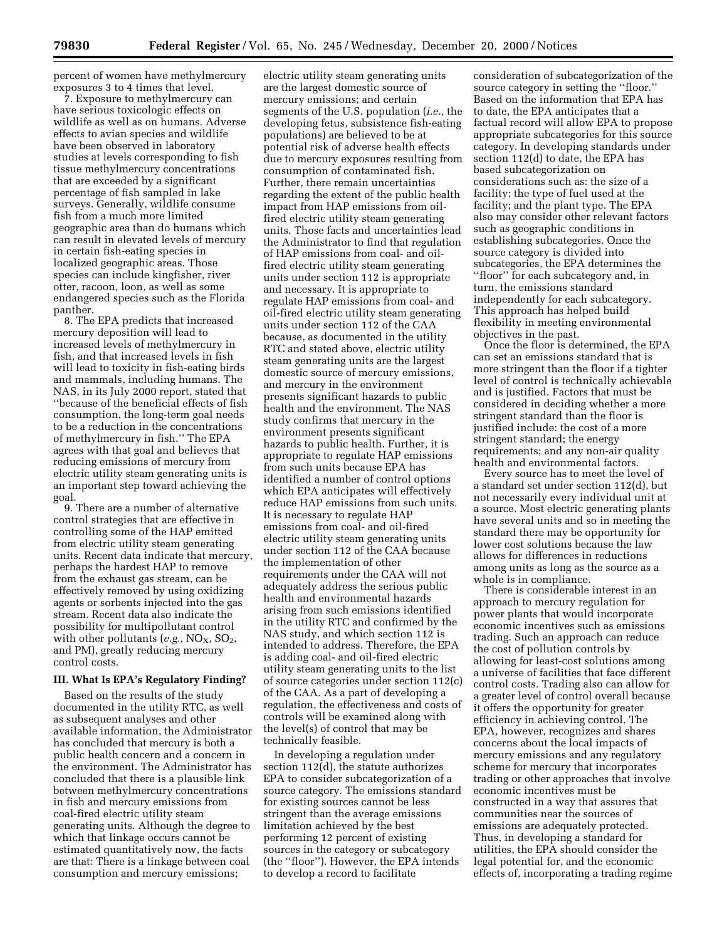percent of women have methylmercury exposures 3 to 4 times that level.

7. Exposure to methylmercury can have serious toxicologic effects on wildlife as well as on humans. Adverse effects to avian species and wildlife have been observed in laboratory studies at levels corresponding to fish tissue methylmercury concentrations that are exceeded by a significant percentage of fish sampled in lake surveys. Generally, wildlife consume fish from a much more limited geographic area than do humans which can result in elevated levels of mercury in certain fish-eating species in localized geographic areas. Those species can include kingfisher, river otter, racoon, loon, as well as some endangered species such as the Florida panther.

8. The EPA predicts that increased mercury deposition will lead to increased levels of methylmercury in fish, and that increased levels in fish will lead to toxicity in fish-eating birds and mammals, including humans. The NAS, in its July 2000 report, stated that ''because of the beneficial effects of fish consumption, the long-term goal needs to be a reduction in the concentrations of methylmercury in fish.'' The EPA agrees with that goal and believes that reducing emissions of mercury from electric utility steam generating units is an important step toward achieving the goal.

9. There are a number of alternative control strategies that are effective in controlling some of the HAP emitted from electric utility steam generating units. Recent data indicate that mercury, perhaps the hardest HAP to remove from the exhaust gas stream, can be effectively removed by using oxidizing agents or sorbents injected into the gas stream. Recent data also indicate the possibility for multipollutant control with other pollutants  $(e.g., NO<sub>X</sub>, SO<sub>2</sub>)$ , and PM), greatly reducing mercury control costs.

## **III. What Is EPA's Regulatory Finding?**

Based on the results of the study documented in the utility RTC, as well as subsequent analyses and other available information, the Administrator has concluded that mercury is both a public health concern and a concern in the environment. The Administrator has concluded that there is a plausible link between methylmercury concentrations in fish and mercury emissions from coal-fired electric utility steam generating units. Although the degree to which that linkage occurs cannot be estimated quantitatively now, the facts are that: There is a linkage between coal consumption and mercury emissions;

electric utility steam generating units are the largest domestic source of mercury emissions; and certain segments of the U.S. population (*i.e.,* the developing fetus, subsistence fish-eating populations) are believed to be at potential risk of adverse health effects due to mercury exposures resulting from consumption of contaminated fish. Further, there remain uncertainties regarding the extent of the public health impact from HAP emissions from oilfired electric utility steam generating units. Those facts and uncertainties lead the Administrator to find that regulation of HAP emissions from coal- and oilfired electric utility steam generating units under section 112 is appropriate and necessary. It is appropriate to regulate HAP emissions from coal- and oil-fired electric utility steam generating units under section 112 of the CAA because, as documented in the utility RTC and stated above, electric utility steam generating units are the largest domestic source of mercury emissions, and mercury in the environment presents significant hazards to public health and the environment. The NAS study confirms that mercury in the environment presents significant hazards to public health. Further, it is appropriate to regulate HAP emissions from such units because EPA has identified a number of control options which EPA anticipates will effectively reduce HAP emissions from such units. It is necessary to regulate HAP emissions from coal- and oil-fired electric utility steam generating units under section 112 of the CAA because the implementation of other requirements under the CAA will not adequately address the serious public health and environmental hazards arising from such emissions identified in the utility RTC and confirmed by the NAS study, and which section 112 is intended to address. Therefore, the EPA is adding coal- and oil-fired electric utility steam generating units to the list of source categories under section 112(c) of the CAA. As a part of developing a regulation, the effectiveness and costs of controls will be examined along with the level(s) of control that may be technically feasible.

In developing a regulation under section 112(d), the statute authorizes EPA to consider subcategorization of a source category. The emissions standard for existing sources cannot be less stringent than the average emissions limitation achieved by the best performing 12 percent of existing sources in the category or subcategory (the ''floor''). However, the EPA intends to develop a record to facilitate

consideration of subcategorization of the source category in setting the ''floor.'' Based on the information that EPA has to date, the EPA anticipates that a factual record will allow EPA to propose appropriate subcategories for this source category. In developing standards under section 112(d) to date, the EPA has based subcategorization on considerations such as: the size of a facility; the type of fuel used at the facility; and the plant type. The EPA also may consider other relevant factors such as geographic conditions in establishing subcategories. Once the source category is divided into subcategories, the EPA determines the ''floor'' for each subcategory and, in turn, the emissions standard independently for each subcategory. This approach has helped build flexibility in meeting environmental objectives in the past.

Once the floor is determined, the EPA can set an emissions standard that is more stringent than the floor if a tighter level of control is technically achievable and is justified. Factors that must be considered in deciding whether a more stringent standard than the floor is justified include: the cost of a more stringent standard; the energy requirements; and any non-air quality health and environmental factors.

Every source has to meet the level of a standard set under section 112(d), but not necessarily every individual unit at a source. Most electric generating plants have several units and so in meeting the standard there may be opportunity for lower cost solutions because the law allows for differences in reductions among units as long as the source as a whole is in compliance.

There is considerable interest in an approach to mercury regulation for power plants that would incorporate economic incentives such as emissions trading. Such an approach can reduce the cost of pollution controls by allowing for least-cost solutions among a universe of facilities that face different control costs. Trading also can allow for a greater level of control overall because it offers the opportunity for greater efficiency in achieving control. The EPA, however, recognizes and shares concerns about the local impacts of mercury emissions and any regulatory scheme for mercury that incorporates trading or other approaches that involve economic incentives must be constructed in a way that assures that communities near the sources of emissions are adequately protected. Thus, in developing a standard for utilities, the EPA should consider the legal potential for, and the economic effects of, incorporating a trading regime